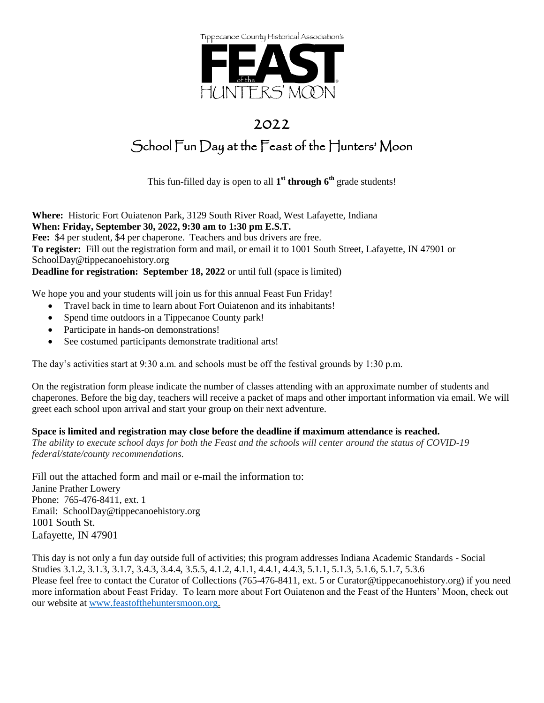

### 2022

## School Fun Day at the Feast of the Hunters' Moon

This fun-filled day is open to all **1 st through 6th** grade students!

**Where:** Historic Fort Ouiatenon Park, 3129 South River Road, West Lafayette, Indiana **When: Friday, September 30, 2022, 9:30 am to 1:30 pm E.S.T. Fee:** \$4 per student, \$4 per chaperone. Teachers and bus drivers are free. **To register:** Fill out the registration form and mail, or email it to 1001 South Street, Lafayette, IN 47901 or SchoolDay@tippecanoehistory.org **Deadline for registration: September 18, 2022** or until full (space is limited)

We hope you and your students will join us for this annual Feast Fun Friday!

- Travel back in time to learn about Fort Ouiatenon and its inhabitants!
- Spend time outdoors in a Tippecanoe County park!
- Participate in hands-on demonstrations!
- See costumed participants demonstrate traditional arts!

The day's activities start at 9:30 a.m. and schools must be off the festival grounds by 1:30 p.m.

On the registration form please indicate the number of classes attending with an approximate number of students and chaperones. Before the big day, teachers will receive a packet of maps and other important information via email. We will greet each school upon arrival and start your group on their next adventure.

#### **Space is limited and registration may close before the deadline if maximum attendance is reached.**

*The ability to execute school days for both the Feast and the schools will center around the status of COVID-19 federal/state/county recommendations.* 

Fill out the attached form and mail or e-mail the information to: Janine Prather Lowery Phone: 765-476-8411, ext. 1 Email: SchoolDay@tippecanoehistory.org 1001 South St. Lafayette, IN 47901

This day is not only a fun day outside full of activities; this program addresses Indiana Academic Standards - Social Studies 3.1.2, 3.1.3, 3.1.7, 3.4.3, 3.4.4, 3.5.5, 4.1.2, 4.1.1, 4.4.1, 4.4.3, 5.1.1, 5.1.3, 5.1.6, 5.1.7, 5.3.6 Please feel free to contact the Curator of Collections (765-476-8411, ext. 5 or Curator@tippecanoehistory.org) if you need more information about Feast Friday. To learn more about Fort Ouiatenon and the Feast of the Hunters' Moon, check out our website at [www.feastofthehuntersmoon.org.](http://www.feastofthehuntersmoon.org/)